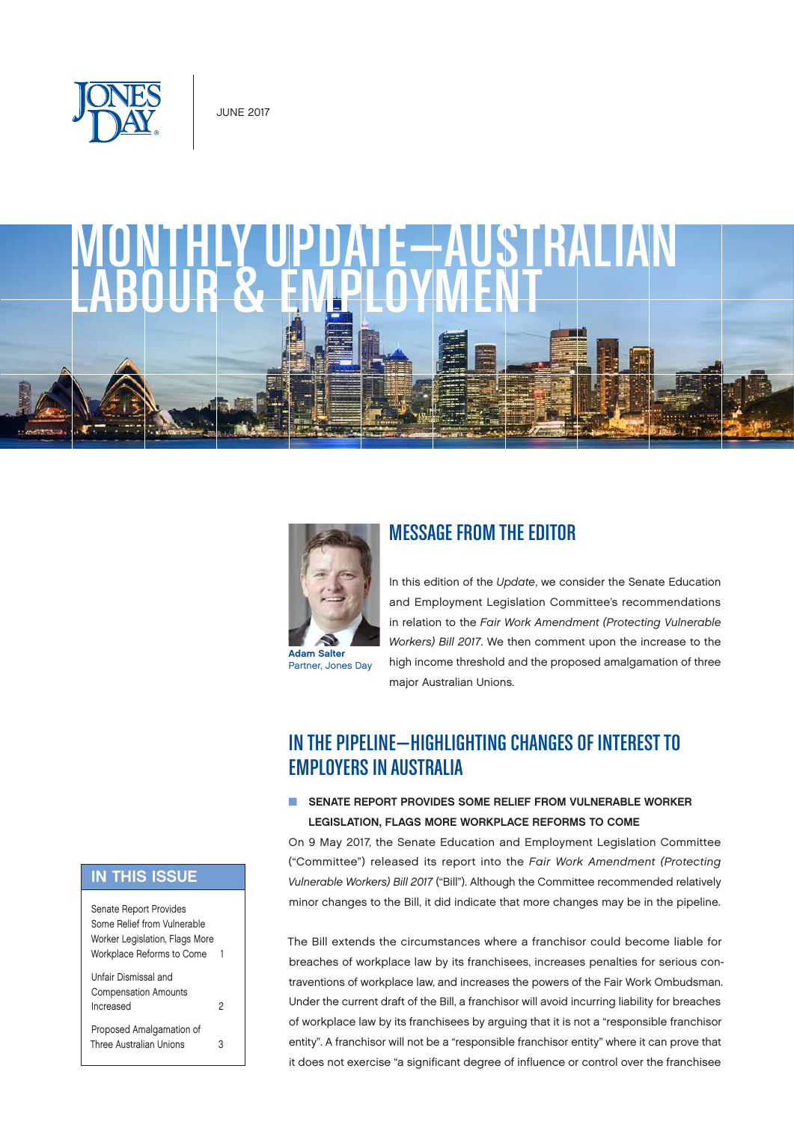





Partner, Jones Day

## MESSAGE FROM THE EDITOR

In this edition of the *Update*, we consider the Senate Education and Employment Legislation Committee's recommendations in relation to the *Fair Work Amendment (Protecting Vulnerable Workers) Bill 2017*. We then comment upon the increase to the high income threshold and the proposed amalgamation of three major Australian Unions.

# IN THE PIPELINE—HIGHLIGHTING CHANGES OF INTEREST TO EMPLOYERS IN AUSTRALIA

### **N SENATE REPORT PROVIDES SOME RELIEF FROM VULNERABLE WORKER** LEGISLATION, FLAGS MORE WORKPLACE REFORMS TO COME

On 9 May 2017, the Senate Education and Employment Legislation Committee ("Committee") released its report into the *Fair Work Amendment (Protecting Vulnerable Workers) Bill 2017* ("Bill"). Although the Committee recommended relatively minor changes to the Bill, it did indicate that more changes may be in the pipeline.

The Bill extends the circumstances where a franchisor could become liable for breaches of workplace law by its franchisees, increases penalties for serious contraventions of workplace law, and increases the powers of the Fair Work Ombudsman. Under the current draft of the Bill, a franchisor will avoid incurring liability for breaches of workplace law by its franchisees by arguing that it is not a "responsible franchisor entity". A franchisor will not be a "responsible franchisor entity" where it can prove that it does not exercise "a significant degree of influence or control over the franchisee

### IN THIS ISSUE

Senate Report Provides Some Relief from Vulnerable Worker Legislation, Flags More Workplace Reforms to Come 1 [Unfair Dismissal and](#page-1-0)  [Compensation Amounts](#page-1-0)  [Increased](#page-1-0) 2 [Proposed Amalgamation of](#page-2-0)  [Three Australian Unions 3](#page-2-0)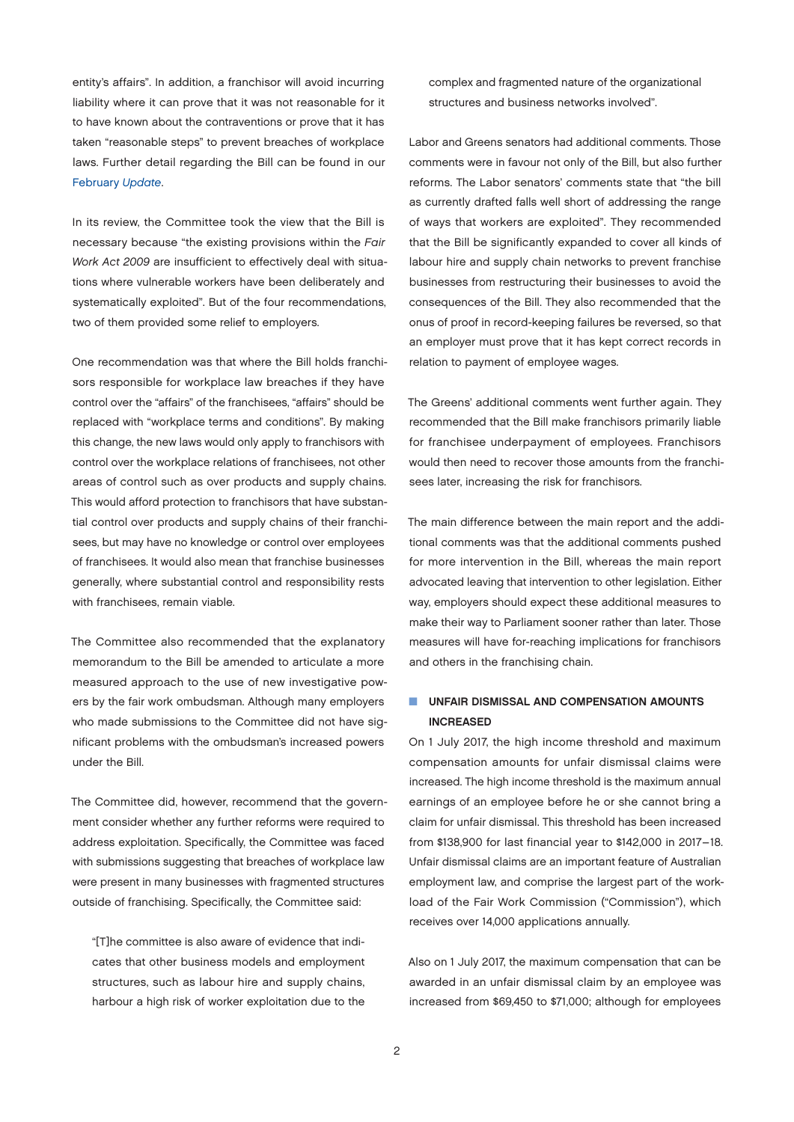<span id="page-1-0"></span>entity's affairs". In addition, a franchisor will avoid incurring liability where it can prove that it was not reasonable for it to have known about the contraventions or prove that it has taken "reasonable steps" to prevent breaches of workplace laws. Further detail regarding the Bill can be found in our [February](http://www.jonesday.com/monthly-updateaustralian-labour--employment-03-20-2017/) *Update*.

In its review, the Committee took the view that the Bill is necessary because "the existing provisions within the *Fair Work Act 2009* are insufficient to effectively deal with situations where vulnerable workers have been deliberately and systematically exploited". But of the four recommendations, two of them provided some relief to employers.

One recommendation was that where the Bill holds franchisors responsible for workplace law breaches if they have control over the "affairs" of the franchisees, "affairs" should be replaced with "workplace terms and conditions". By making this change, the new laws would only apply to franchisors with control over the workplace relations of franchisees, not other areas of control such as over products and supply chains. This would afford protection to franchisors that have substantial control over products and supply chains of their franchisees, but may have no knowledge or control over employees of franchisees. It would also mean that franchise businesses generally, where substantial control and responsibility rests with franchisees, remain viable.

The Committee also recommended that the explanatory memorandum to the Bill be amended to articulate a more measured approach to the use of new investigative powers by the fair work ombudsman. Although many employers who made submissions to the Committee did not have significant problems with the ombudsman's increased powers under the Bill.

The Committee did, however, recommend that the government consider whether any further reforms were required to address exploitation. Specifically, the Committee was faced with submissions suggesting that breaches of workplace law were present in many businesses with fragmented structures outside of franchising. Specifically, the Committee said:

"[T]he committee is also aware of evidence that indicates that other business models and employment structures, such as labour hire and supply chains, harbour a high risk of worker exploitation due to the complex and fragmented nature of the organizational structures and business networks involved".

Labor and Greens senators had additional comments. Those comments were in favour not only of the Bill, but also further reforms. The Labor senators' comments state that "the bill as currently drafted falls well short of addressing the range of ways that workers are exploited". They recommended that the Bill be significantly expanded to cover all kinds of labour hire and supply chain networks to prevent franchise businesses from restructuring their businesses to avoid the consequences of the Bill. They also recommended that the onus of proof in record-keeping failures be reversed, so that an employer must prove that it has kept correct records in relation to payment of employee wages.

The Greens' additional comments went further again. They recommended that the Bill make franchisors primarily liable for franchisee underpayment of employees. Franchisors would then need to recover those amounts from the franchisees later, increasing the risk for franchisors.

The main difference between the main report and the additional comments was that the additional comments pushed for more intervention in the Bill, whereas the main report advocated leaving that intervention to other legislation. Either way, employers should expect these additional measures to make their way to Parliament sooner rather than later. Those measures will have for-reaching implications for franchisors and others in the franchising chain.

#### **N UNFAIR DISMISSAL AND COMPENSATION AMOUNTS** INCREASED

On 1 July 2017, the high income threshold and maximum compensation amounts for unfair dismissal claims were increased. The high income threshold is the maximum annual earnings of an employee before he or she cannot bring a claim for unfair dismissal. This threshold has been increased from \$138,900 for last financial year to \$142,000 in 2017–18. Unfair dismissal claims are an important feature of Australian employment law, and comprise the largest part of the workload of the Fair Work Commission ("Commission"), which receives over 14,000 applications annually.

Also on 1 July 2017, the maximum compensation that can be awarded in an unfair dismissal claim by an employee was increased from \$69,450 to \$71,000; although for employees